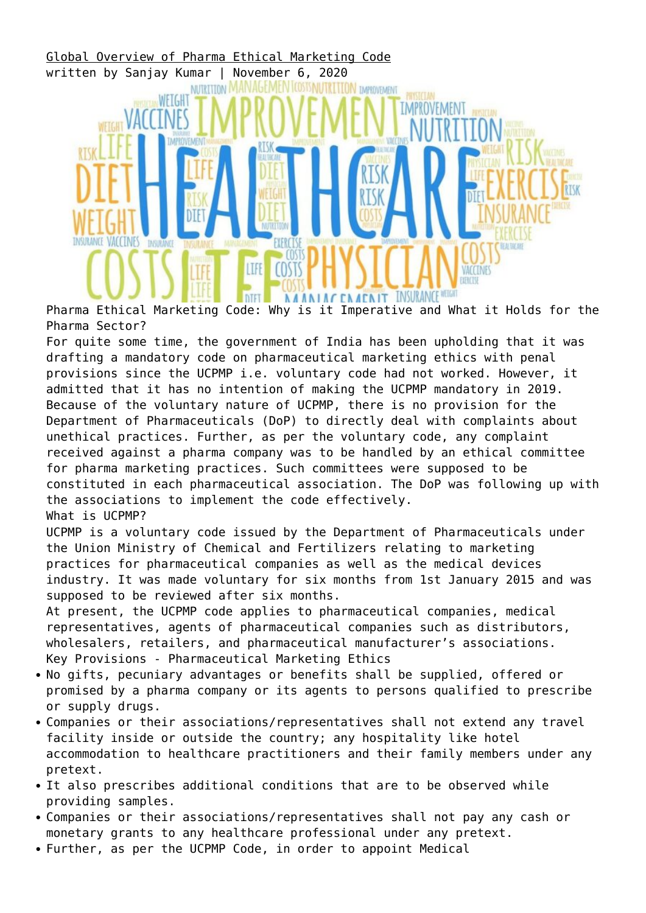

Pharma Ethical Marketing Code: Why is it Imperative and What it Holds for the Pharma Sector?

For quite some time, the government of India has been upholding that it was drafting a mandatory code on pharmaceutical marketing ethics with penal provisions since the UCPMP i.e. voluntary code had not worked. However, it admitted that it has no intention of making the UCPMP mandatory in 2019. Because of the voluntary nature of UCPMP, there is no provision for the Department of Pharmaceuticals (DoP) to directly deal with complaints about unethical practices. Further, as per the voluntary code, any complaint received against a pharma company was to be handled by an ethical committee for pharma marketing practices. Such committees were supposed to be constituted in each pharmaceutical association. The DoP was following up with the associations to implement the code effectively. What is UCPMP?

UCPMP is a voluntary code issued by the Department of Pharmaceuticals under the Union Ministry of Chemical and Fertilizers relating to marketing practices for pharmaceutical companies as well as the medical devices industry. It was made voluntary for six months from 1st January 2015 and was supposed to be reviewed after six months.

At present, the UCPMP code applies to pharmaceutical companies, medical representatives, agents of pharmaceutical companies such as distributors, wholesalers, retailers, and pharmaceutical manufacturer's associations. Key Provisions - Pharmaceutical Marketing Ethics

- No gifts, pecuniary advantages or benefits shall be supplied, offered or promised by a pharma company or its agents to persons qualified to prescribe or supply drugs.
- Companies or their associations/representatives shall not extend any travel facility inside or outside the country; any hospitality like hotel accommodation to healthcare practitioners and their family members under any pretext.
- It also prescribes additional conditions that are to be observed while providing samples.
- Companies or their associations/representatives shall not pay any cash or monetary grants to any healthcare professional under any pretext.
- Further, as per the UCPMP Code, in order to appoint Medical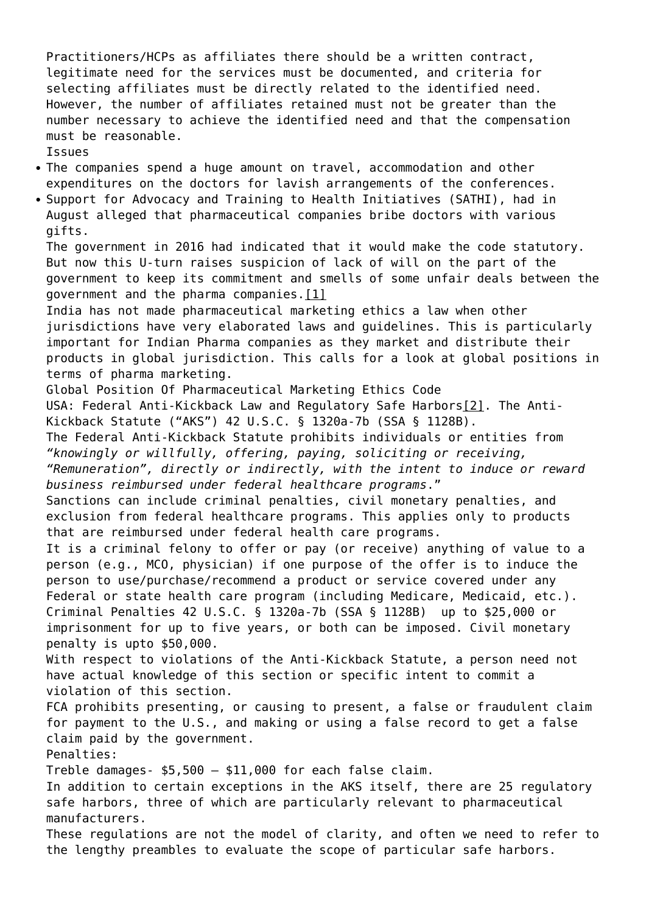Practitioners/HCPs as affiliates there should be a written contract, legitimate need for the services must be documented, and criteria for selecting affiliates must be directly related to the identified need. However, the number of affiliates retained must not be greater than the number necessary to achieve the identified need and that the compensation must be reasonable.

Issues

- The companies spend a huge amount on travel, accommodation and other expenditures on the doctors for lavish arrangements of the conferences.
- Support for Advocacy and Training to Health Initiatives (SATHI), had in August alleged that pharmaceutical companies bribe doctors with various gifts.

The government in 2016 had indicated that it would make the code statutory. But now this U-turn raises suspicion of lack of will on the part of the government to keep its commitment and smells of some unfair deals between the government and the pharma companies. $[1]$ 

India has not made pharmaceutical marketing ethics a law when other jurisdictions have very elaborated laws and guidelines. This is particularly important for Indian Pharma companies as they market and distribute their products in global jurisdiction. This calls for a look at global positions in terms of pharma marketing.

Global Position Of Pharmaceutical Marketing Ethics Code

USA: Federal Anti-Kickback Law and Regulatory Safe Harbors[\[2\]](#page--1-0). The Anti-Kickback Statute ("AKS") 42 U.S.C. § 1320a-7b (SSA § 1128B).

The Federal Anti-Kickback Statute prohibits individuals or entities from *"knowingly or willfully, offering, paying, soliciting or receiving,*

*"Remuneration", directly or indirectly, with the intent to induce or reward business reimbursed under federal healthcare programs*."

Sanctions can include criminal penalties, civil monetary penalties, and exclusion from federal healthcare programs. This applies only to products that are reimbursed under federal health care programs.

It is a criminal felony to offer or pay (or receive) anything of value to a person (e.g., MCO, physician) if one purpose of the offer is to induce the person to use/purchase/recommend a product or service covered under any Federal or state health care program (including Medicare, Medicaid, etc.). Criminal Penalties 42 U.S.C. § 1320a-7b (SSA § 1128B) up to \$25,000 or imprisonment for up to five years, or both can be imposed. Civil monetary penalty is upto \$50,000.

With respect to violations of the Anti-Kickback Statute, a person need not have actual knowledge of this section or specific intent to commit a violation of this section.

FCA prohibits presenting, or causing to present, a false or fraudulent claim for payment to the U.S., and making or using a false record to get a false claim paid by the government.

Penalties:

Treble damages- \$5,500 – \$11,000 for each false claim.

In addition to certain exceptions in the AKS itself, there are 25 regulatory safe harbors, three of which are particularly relevant to pharmaceutical manufacturers.

These regulations are not the model of clarity, and often we need to refer to the lengthy preambles to evaluate the scope of particular safe harbors.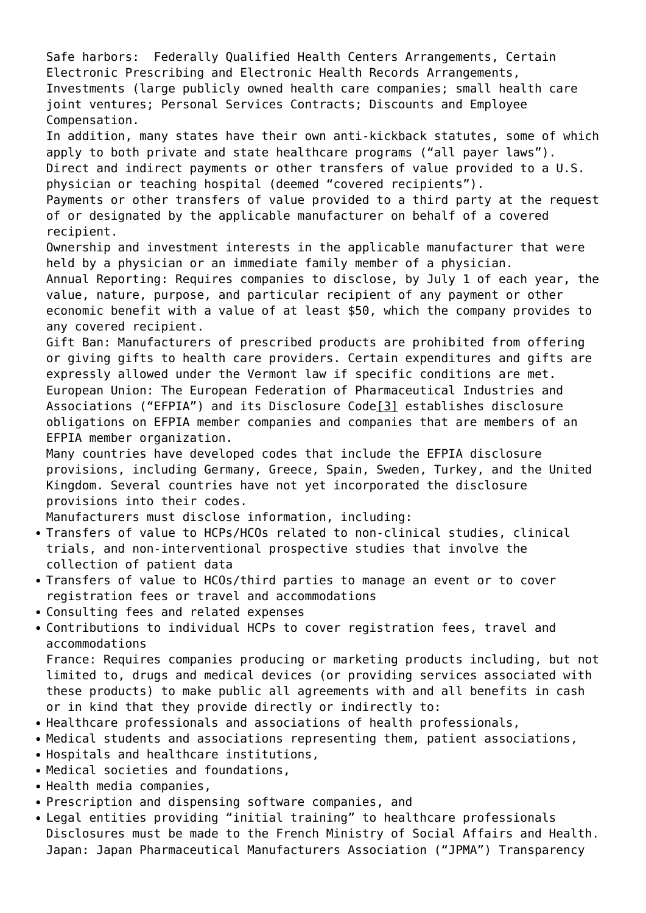Safe harbors: Federally Qualified Health Centers Arrangements, Certain Electronic Prescribing and Electronic Health Records Arrangements, Investments (large publicly owned health care companies; small health care joint ventures; Personal Services Contracts; Discounts and Employee Compensation. In addition, many states have their own anti-kickback statutes, some of which apply to both private and state healthcare programs ("all payer laws"). Direct and indirect payments or other transfers of value provided to a U.S. physician or teaching hospital (deemed "covered recipients"). Payments or other transfers of value provided to a third party at the request of or designated by the applicable manufacturer on behalf of a covered recipient. Ownership and investment interests in the applicable manufacturer that were held by a physician or an immediate family member of a physician. Annual Reporting: Requires companies to disclose, by July 1 of each year, the value, nature, purpose, and particular recipient of any payment or other economic benefit with a value of at least \$50, which the company provides to any covered recipient. Gift Ban: Manufacturers of prescribed products are prohibited from offering or giving gifts to health care providers. Certain expenditures and gifts are expressly allowed under the Vermont law if specific conditions are met. European Union: The European Federation of Pharmaceutical Industries and Associations ("EFPIA") and its Disclosure Cod[e\[3\]](#page--1-0) establishes disclosure obligations on EFPIA member companies and companies that are members of an EFPIA member organization. Many countries have developed codes that include the EFPIA disclosure provisions, including Germany, Greece, Spain, Sweden, Turkey, and the United Kingdom. Several countries have not yet incorporated the disclosure provisions into their codes. Manufacturers must disclose information, including: Transfers of value to HCPs/HCOs related to non-clinical studies, clinical trials, and non-interventional prospective studies that involve the collection of patient data • Transfers of value to HCOs/third parties to manage an event or to cover registration fees or travel and accommodations Consulting fees and related expenses Contributions to individual HCPs to cover registration fees, travel and accommodations France: Requires companies producing or marketing products including, but not limited to, drugs and medical devices (or providing services associated with these products) to make public all agreements with and all benefits in cash or in kind that they provide directly or indirectly to:

- Healthcare professionals and associations of health professionals,
- Medical students and associations representing them, patient associations,
- Hospitals and healthcare institutions,
- Medical societies and foundations,
- Health media companies,
- Prescription and dispensing software companies, and
- Legal entities providing "initial training" to healthcare professionals Disclosures must be made to the French Ministry of Social Affairs and Health. Japan: Japan Pharmaceutical Manufacturers Association ("JPMA") Transparency